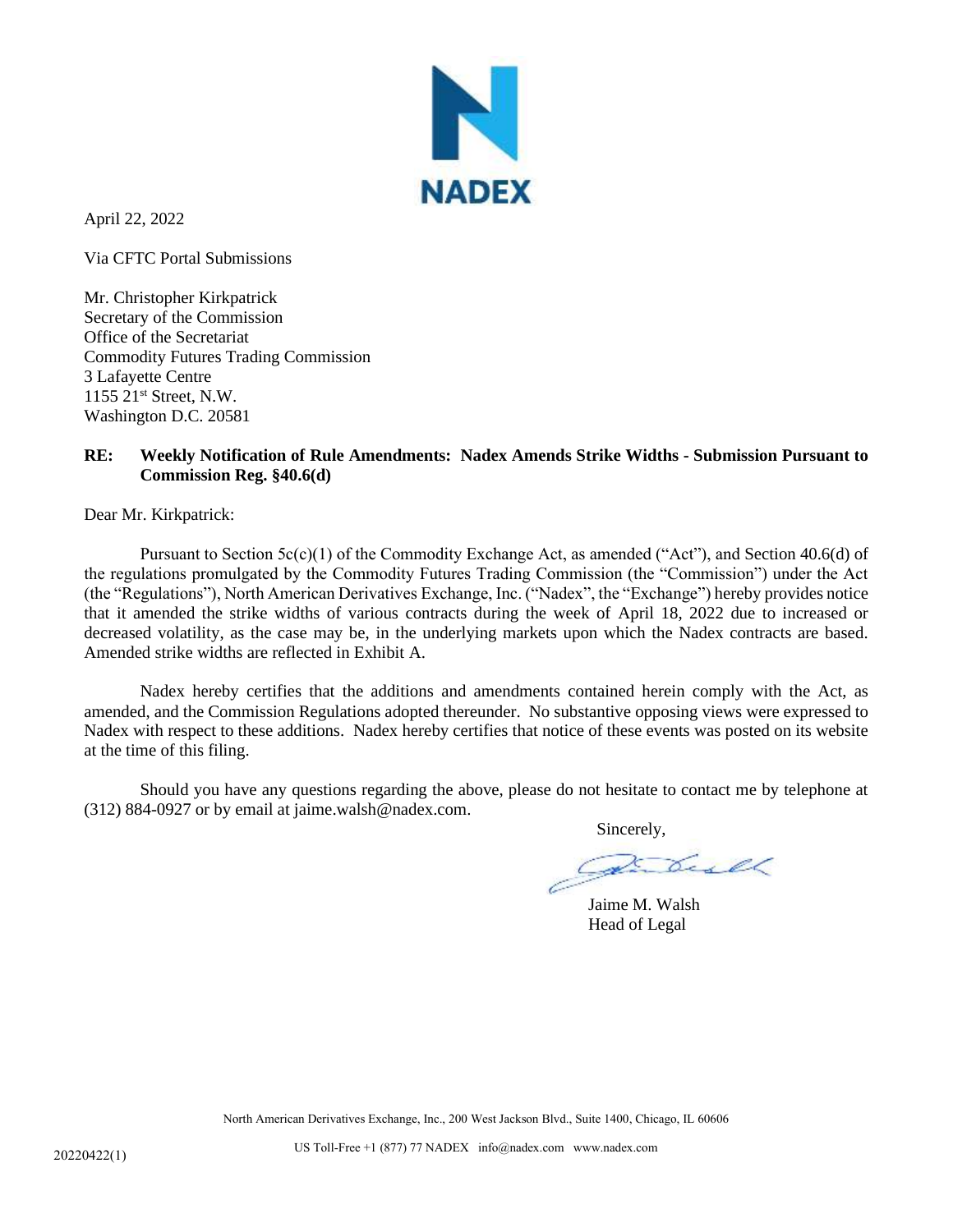

April 22, 2022

Via CFTC Portal Submissions

Mr. Christopher Kirkpatrick Secretary of the Commission Office of the Secretariat Commodity Futures Trading Commission 3 Lafayette Centre 1155 21st Street, N.W. Washington D.C. 20581

## **RE: Weekly Notification of Rule Amendments: Nadex Amends Strike Widths - Submission Pursuant to Commission Reg. §40.6(d)**

Dear Mr. Kirkpatrick:

Pursuant to Section  $5c(c)(1)$  of the Commodity Exchange Act, as amended ("Act"), and Section 40.6(d) of the regulations promulgated by the Commodity Futures Trading Commission (the "Commission") under the Act (the "Regulations"), North American Derivatives Exchange, Inc. ("Nadex", the "Exchange") hereby provides notice that it amended the strike widths of various contracts during the week of April 18, 2022 due to increased or decreased volatility, as the case may be, in the underlying markets upon which the Nadex contracts are based. Amended strike widths are reflected in Exhibit A.

Nadex hereby certifies that the additions and amendments contained herein comply with the Act, as amended, and the Commission Regulations adopted thereunder. No substantive opposing views were expressed to Nadex with respect to these additions. Nadex hereby certifies that notice of these events was posted on its website at the time of this filing.

Should you have any questions regarding the above, please do not hesitate to contact me by telephone at (312) 884-0927 or by email at jaime.walsh@nadex.com.

Sincerely,

Jaime M. Walsh Head of Legal